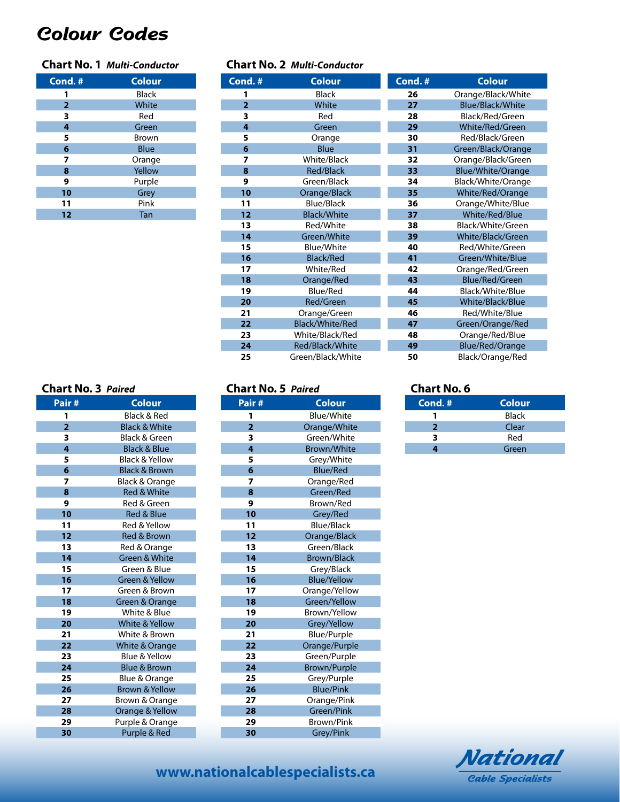# *Colour Codes*

## **Chart No. 1** *Multi-Conductor*

| Cond.#         | <b>Colour</b> |
|----------------|---------------|
| 1              | <b>Black</b>  |
| $\overline{2}$ | White         |
| 3              | Red           |
| 4              | Green         |
| 5              | Brown         |
| 6              | <b>Blue</b>   |
| 7              | Orange        |
| 8              | Yellow        |
| 9              | Purple        |
| 10             | Grey          |
| 11             | Pink          |
| 12             | Tan           |

#### **Chart No. 2** *Multi-Conductor*

| Cond.#         | <b>Colour</b>          |
|----------------|------------------------|
| 1              | Black                  |
| $\overline{2}$ | White                  |
| 3              | Red                    |
| 4              | Green                  |
| 5              | Orange                 |
| 6              | <b>Blue</b>            |
| 7              | White/Black            |
| 8              | <b>Red/Black</b>       |
| 9              | Green/Black            |
| 10             | Orange/Black           |
| 11             | <b>Blue/Black</b>      |
| 12             | <b>Black/White</b>     |
| 13             | Red/White              |
| 14             | Green/White            |
| 15             | <b>Blue/White</b>      |
| 16             | <b>Black/Red</b>       |
| 17             | White/Red              |
| 18             | Orange/Red             |
| 19             | <b>Blue/Red</b>        |
| 20             | Red/Green              |
| 21             | Orange/Green           |
| 22             | <b>Black/White/Red</b> |
| 23             | White/Black/Red        |
| 24             | Red/Black/White        |
| 25             | Green/Black/White      |

| Cond.# | <b>Colour</b>            |
|--------|--------------------------|
| 26     | Orange/Black/White       |
| 27     | Blue/Black/White         |
| 28     | Black/Red/Green          |
| 29     | <b>White/Red/Green</b>   |
| 30     | Red/Black/Green          |
| 31     |                          |
|        | Green/Black/Orange       |
| 32     | Orange/Black/Green       |
| 33     | <b>Blue/White/Orange</b> |
| 34     | Black/White/Orange       |
| 35     | White/Red/Orange         |
| 36     | Orange/White/Blue        |
| 37     | White/Red/Blue           |
| 38     | Black/White/Green        |
| 39     | White/Black/Green        |
| 40     | Red/White/Green          |
| 41     | Green/White/Blue         |
| 42     | Orange/Red/Green         |
| 43     | <b>Blue/Red/Green</b>    |
| 44     | Black/White/Blue         |
| 45     | White/Black/Blue         |
| 46     | Red/White/Blue           |
| 47     | Green/Orange/Red         |
| 48     | Orange/Red/Blue          |
| 49     | <b>Blue/Red/Orange</b>   |
| 50     | Black/Orange/Red         |

### **Chart No. 3** *Paired*

|                | r un cu                   |
|----------------|---------------------------|
| Pair#          | <b>Colour</b>             |
| 1              | <b>Black &amp; Red</b>    |
| $\overline{2}$ | <b>Black &amp; White</b>  |
| 3              | Black & Green             |
| 4              | <b>Black &amp; Blue</b>   |
| 5              | <b>Black &amp; Yellow</b> |
| 6              | <b>Black &amp; Brown</b>  |
| 7              | <b>Black &amp; Orange</b> |
| 8              | <b>Red &amp; White</b>    |
| 9              | Red & Green               |
| 10             | <b>Red &amp; Blue</b>     |
| 11             | Red & Yellow              |
| 12             | <b>Red &amp; Brown</b>    |
| 13             | Red & Orange              |
| 14             | Green & White             |
| 15             | Green & Blue              |
| 16             | <b>Green &amp; Yellow</b> |
| 17             | Green & Brown             |
| 18             | Green & Orange            |
| 19             | White & Blue              |
| 20             | <b>White &amp; Yellow</b> |
| 21             | White & Brown             |
| 22             | <b>White &amp; Orange</b> |
| 23             | Blue & Yellow             |
| 24             | <b>Blue &amp; Brown</b>   |
| 25             | Blue & Orange             |
| 26             | <b>Brown &amp; Yellow</b> |
| 27             | Brown & Orange            |
| 28             | Orange & Yellow           |
| 29             | Purple & Orange           |
| 30             | Purple & Red              |

| Pair#          | <u>Colour</u>       |
|----------------|---------------------|
| 1              | <b>Blue/White</b>   |
| $\overline{2}$ | Orange/White        |
| 3              | Green/White         |
| 4              | <b>Brown/White</b>  |
| 5              | Grey/White          |
| 6              | <b>Blue/Red</b>     |
| 7              | Orange/Red          |
| 8              | Green/Red           |
| 9              | Brown/Red           |
| 10             | Grey/Red            |
| 11             | <b>Blue/Black</b>   |
| 12             | Orange/Black        |
| 13             | Green/Black         |
| 14             | <b>Brown/Black</b>  |
| 15             | Grey/Black          |
| 16             | <b>Blue/Yellow</b>  |
| 17             | Orange/Yellow       |
| 18             | Green/Yellow        |
| 19             | Brown/Yellow        |
| 20             | Grey/Yellow         |
| 21             | <b>Blue/Purple</b>  |
| 22             | Orange/Purple       |
| 23             | Green/Purple        |
| 24             | <b>Brown/Purple</b> |
| 25             | Grey/Purple         |
| 26             | <b>Blue/Pink</b>    |
| 27             | Orange/Pink         |
| 28             | Green/Pink          |
| 29             | <b>Brown/Pink</b>   |
| 30             | Grey/Pink           |

**Chart No. 5** *Paired*

#### **Chart No. 6**

| Cond.#       | Colour       |
|--------------|--------------|
|              | <b>Black</b> |
| $\mathbf{2}$ | Clear        |
| ર            | Red          |
|              | Green        |



# **www.nationalcablespecialists.ca**